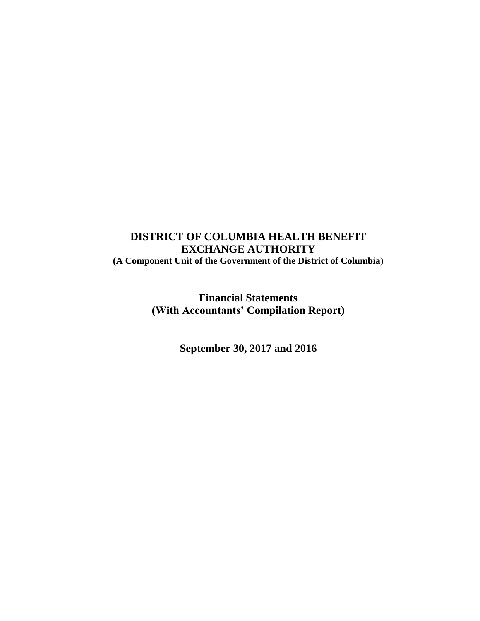**Financial Statements (With Accountants' Compilation Report)**

**September 30, 2017 and 2016**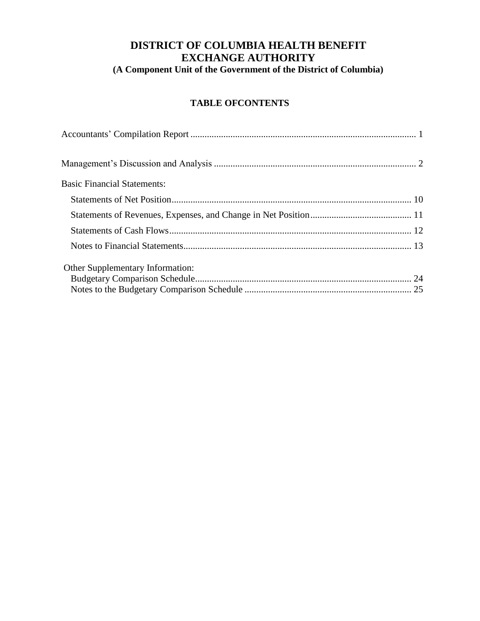## **TABLE OFCONTENTS**

| <b>Basic Financial Statements:</b> |  |
|------------------------------------|--|
|                                    |  |
|                                    |  |
|                                    |  |
|                                    |  |
| Other Supplementary Information:   |  |
|                                    |  |
|                                    |  |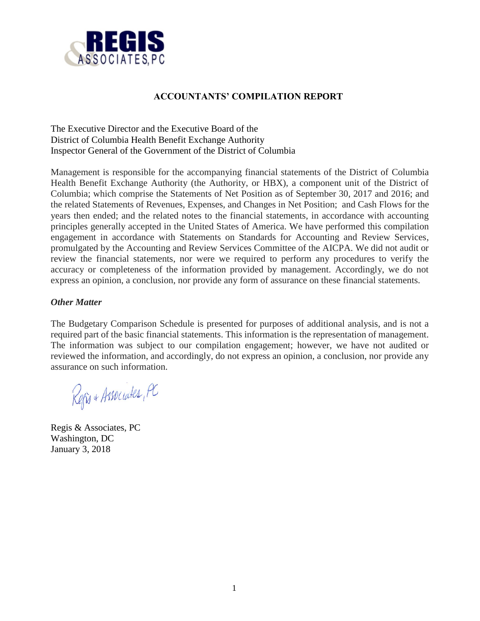

## **ACCOUNTANTS' COMPILATION REPORT**

The Executive Director and the Executive Board of the District of Columbia Health Benefit Exchange Authority Inspector General of the Government of the District of Columbia

Management is responsible for the accompanying financial statements of the District of Columbia Health Benefit Exchange Authority (the Authority, or HBX), a component unit of the District of Columbia; which comprise the Statements of Net Position as of September 30, 2017 and 2016; and the related Statements of Revenues, Expenses, and Changes in Net Position; and Cash Flows for the years then ended; and the related notes to the financial statements, in accordance with accounting principles generally accepted in the United States of America. We have performed this compilation engagement in accordance with Statements on Standards for Accounting and Review Services, promulgated by the Accounting and Review Services Committee of the AICPA. We did not audit or review the financial statements, nor were we required to perform any procedures to verify the accuracy or completeness of the information provided by management. Accordingly, we do not express an opinion, a conclusion, nor provide any form of assurance on these financial statements.

## *Other Matter*

The Budgetary Comparison Schedule is presented for purposes of additional analysis, and is not a required part of the basic financial statements. This information is the representation of management. The information was subject to our compilation engagement; however, we have not audited or reviewed the information, and accordingly, do not express an opinion, a conclusion, nor provide any assurance on such information.

Refis + Associates, PC

Regis & Associates, PC Washington, DC January 3, 2018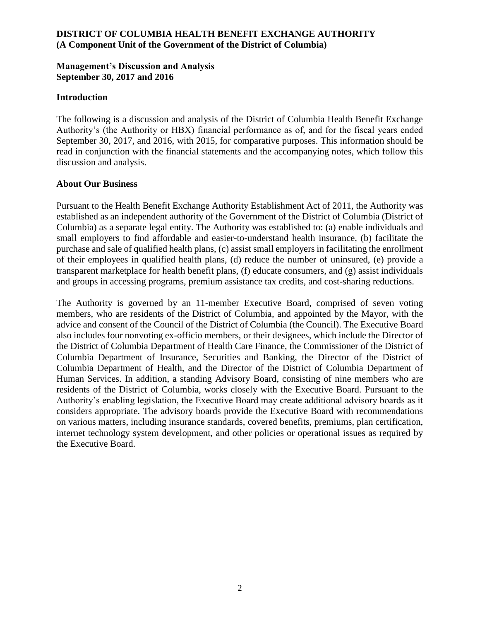## **Management's Discussion and Analysis September 30, 2017 and 2016**

### **Introduction**

The following is a discussion and analysis of the District of Columbia Health Benefit Exchange Authority's (the Authority or HBX) financial performance as of, and for the fiscal years ended September 30, 2017, and 2016, with 2015, for comparative purposes. This information should be read in conjunction with the financial statements and the accompanying notes, which follow this discussion and analysis.

#### **About Our Business**

Pursuant to the Health Benefit Exchange Authority Establishment Act of 2011, the Authority was established as an independent authority of the Government of the District of Columbia (District of Columbia) as a separate legal entity. The Authority was established to: (a) enable individuals and small employers to find affordable and easier-to-understand health insurance, (b) facilitate the purchase and sale of qualified health plans, (c) assist small employers in facilitating the enrollment of their employees in qualified health plans, (d) reduce the number of uninsured, (e) provide a transparent marketplace for health benefit plans, (f) educate consumers, and (g) assist individuals and groups in accessing programs, premium assistance tax credits, and cost-sharing reductions.

The Authority is governed by an 11-member Executive Board, comprised of seven voting members, who are residents of the District of Columbia, and appointed by the Mayor, with the advice and consent of the Council of the District of Columbia (the Council). The Executive Board also includes four nonvoting ex-officio members, or their designees, which include the Director of the District of Columbia Department of Health Care Finance, the Commissioner of the District of Columbia Department of Insurance, Securities and Banking, the Director of the District of Columbia Department of Health, and the Director of the District of Columbia Department of Human Services. In addition, a standing Advisory Board, consisting of nine members who are residents of the District of Columbia, works closely with the Executive Board. Pursuant to the Authority's enabling legislation, the Executive Board may create additional advisory boards as it considers appropriate. The advisory boards provide the Executive Board with recommendations on various matters, including insurance standards, covered benefits, premiums, plan certification, internet technology system development, and other policies or operational issues as required by the Executive Board.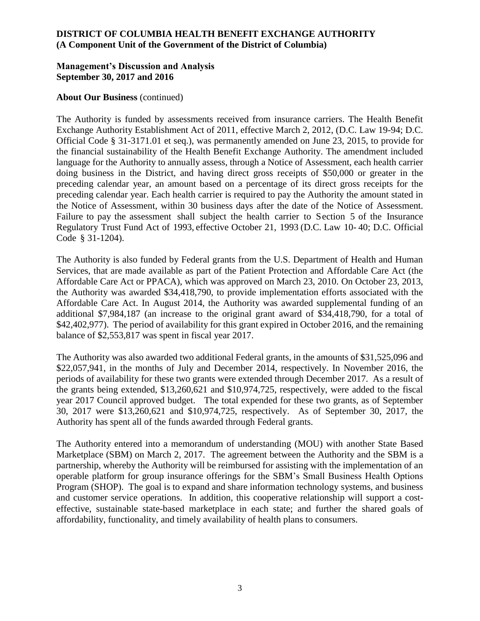## **Management's Discussion and Analysis September 30, 2017 and 2016**

### **About Our Business** (continued)

The Authority is funded by assessments received from insurance carriers. The Health Benefit Exchange Authority Establishment Act of 2011, effective March 2, 2012, (D.C. Law 19-94; D.C. Official Code § 31-3171.01 et seq.), was permanently amended on June 23, 2015, to provide for the financial sustainability of the Health Benefit Exchange Authority. The amendment included language for the Authority to annually assess, through a Notice of Assessment, each health carrier doing business in the District, and having direct gross receipts of \$50,000 or greater in the preceding calendar year, an amount based on a percentage of its direct gross receipts for the preceding calendar year. Each health carrier is required to pay the Authority the amount stated in the Notice of Assessment, within 30 business days after the date of the Notice of Assessment. Failure to pay the assessment shall subject the health carrier to Section 5 of the Insurance Regulatory Trust Fund Act of 1993, effective October 21, 1993 (D.C. Law 10- 40; D.C. Official Code § 31-1204).

The Authority is also funded by Federal grants from the U.S. Department of Health and Human Services, that are made available as part of the Patient Protection and Affordable Care Act (the Affordable Care Act or PPACA), which was approved on March 23, 2010. On October 23, 2013, the Authority was awarded \$34,418,790, to provide implementation efforts associated with the Affordable Care Act. In August 2014, the Authority was awarded supplemental funding of an additional \$7,984,187 (an increase to the original grant award of \$34,418,790, for a total of \$42,402,977). The period of availability for this grant expired in October 2016, and the remaining balance of \$2,553,817 was spent in fiscal year 2017.

The Authority was also awarded two additional Federal grants, in the amounts of \$31,525,096 and \$22,057,941, in the months of July and December 2014, respectively. In November 2016, the periods of availability for these two grants were extended through December 2017. As a result of the grants being extended, \$13,260,621 and \$10,974,725, respectively, were added to the fiscal year 2017 Council approved budget. The total expended for these two grants, as of September 30, 2017 were \$13,260,621 and \$10,974,725, respectively. As of September 30, 2017, the Authority has spent all of the funds awarded through Federal grants.

The Authority entered into a memorandum of understanding (MOU) with another State Based Marketplace (SBM) on March 2, 2017. The agreement between the Authority and the SBM is a partnership, whereby the Authority will be reimbursed for assisting with the implementation of an operable platform for group insurance offerings for the SBM's Small Business Health Options Program (SHOP). The goal is to expand and share information technology systems, and business and customer service operations. In addition, this cooperative relationship will support a costeffective, sustainable state-based marketplace in each state; and further the shared goals of affordability, functionality, and timely availability of health plans to consumers.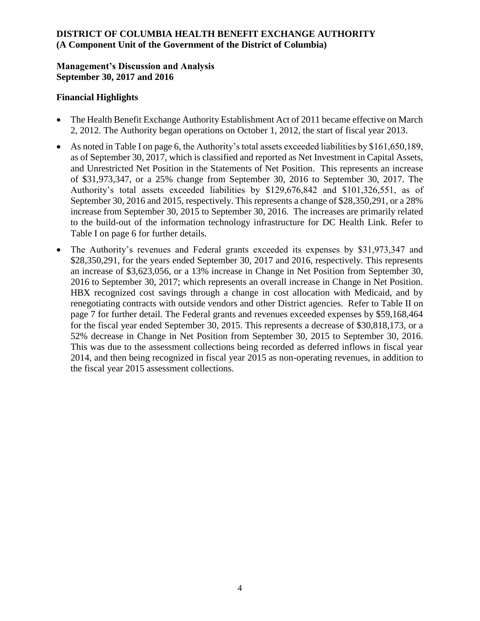## **Management's Discussion and Analysis September 30, 2017 and 2016**

### **Financial Highlights**

- The Health Benefit Exchange Authority Establishment Act of 2011 became effective on March 2, 2012. The Authority began operations on October 1, 2012, the start of fiscal year 2013.
- As noted in Table I on page 6, the Authority's total assets exceeded liabilities by \$161,650,189, as of September 30, 2017, which is classified and reported as Net Investment in Capital Assets, and Unrestricted Net Position in the Statements of Net Position. This represents an increase of \$31,973,347, or a 25% change from September 30, 2016 to September 30, 2017. The Authority's total assets exceeded liabilities by \$129,676,842 and \$101,326,551, as of September 30, 2016 and 2015, respectively. This represents a change of \$28,350,291, or a 28% increase from September 30, 2015 to September 30, 2016. The increases are primarily related to the build-out of the information technology infrastructure for DC Health Link. Refer to Table I on page 6 for further details.
- The Authority's revenues and Federal grants exceeded its expenses by \$31,973,347 and \$28,350,291, for the years ended September 30, 2017 and 2016, respectively. This represents an increase of \$3,623,056, or a 13% increase in Change in Net Position from September 30, 2016 to September 30, 2017; which represents an overall increase in Change in Net Position. HBX recognized cost savings through a change in cost allocation with Medicaid, and by renegotiating contracts with outside vendors and other District agencies. Refer to Table II on page 7 for further detail. The Federal grants and revenues exceeded expenses by \$59,168,464 for the fiscal year ended September 30, 2015. This represents a decrease of \$30,818,173, or a 52% decrease in Change in Net Position from September 30, 2015 to September 30, 2016. This was due to the assessment collections being recorded as deferred inflows in fiscal year 2014, and then being recognized in fiscal year 2015 as non-operating revenues, in addition to the fiscal year 2015 assessment collections.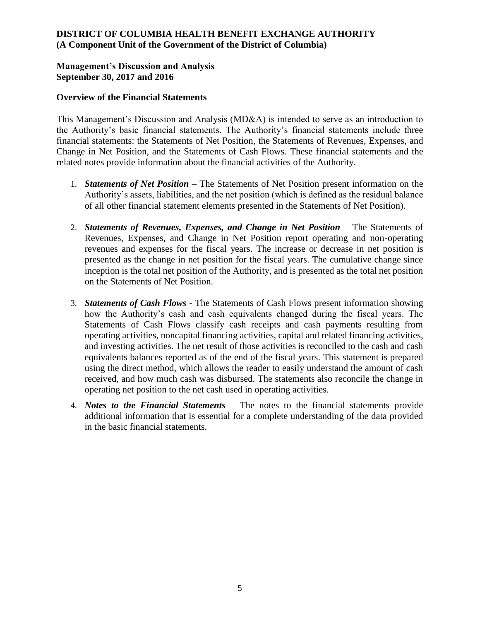## **Management's Discussion and Analysis September 30, 2017 and 2016**

### **Overview of the Financial Statements**

This Management's Discussion and Analysis (MD&A) is intended to serve as an introduction to the Authority's basic financial statements. The Authority's financial statements include three financial statements: the Statements of Net Position, the Statements of Revenues, Expenses, and Change in Net Position, and the Statements of Cash Flows. These financial statements and the related notes provide information about the financial activities of the Authority.

- 1. *Statements of Net Position* The Statements of Net Position present information on the Authority's assets, liabilities, and the net position (which is defined as the residual balance of all other financial statement elements presented in the Statements of Net Position).
- 2. *Statements of Revenues, Expenses, and Change in Net Position* The Statements of Revenues, Expenses, and Change in Net Position report operating and non-operating revenues and expenses for the fiscal years. The increase or decrease in net position is presented as the change in net position for the fiscal years. The cumulative change since inception is the total net position of the Authority, and is presented as the total net position on the Statements of Net Position.
- 3. *Statements of Cash Flows* The Statements of Cash Flows present information showing how the Authority's cash and cash equivalents changed during the fiscal years. The Statements of Cash Flows classify cash receipts and cash payments resulting from operating activities, noncapital financing activities, capital and related financing activities, and investing activities. The net result of those activities is reconciled to the cash and cash equivalents balances reported as of the end of the fiscal years. This statement is prepared using the direct method, which allows the reader to easily understand the amount of cash received, and how much cash was disbursed. The statements also reconcile the change in operating net position to the net cash used in operating activities.
- 4. *Notes to the Financial Statements* The notes to the financial statements provide additional information that is essential for a complete understanding of the data provided in the basic financial statements.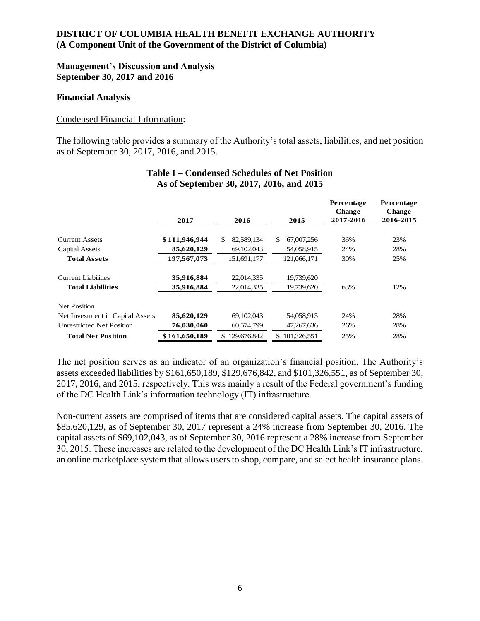## **Management's Discussion and Analysis September 30, 2017 and 2016**

#### **Financial Analysis**

#### Condensed Financial Information:

The following table provides a summary of the Authority's total assets, liabilities, and net position as of September 30, 2017, 2016, and 2015.

|                                  | 2017          | 2016               | 2015              | Percentage<br><b>Change</b><br>2017-2016 | Percentage<br><b>Change</b><br>2016-2015 |
|----------------------------------|---------------|--------------------|-------------------|------------------------------------------|------------------------------------------|
|                                  |               |                    |                   |                                          |                                          |
| <b>Current Assets</b>            | \$111,946,944 | \$<br>82,589,134   | 67,007,256<br>\$. | 36%                                      | 23%                                      |
| Capital Assets                   | 85,620,129    | 69,102,043         | 54,058,915        | 24%                                      | 28%                                      |
| <b>Total Assets</b>              | 197.567.073   | 151,691,177        | 121,066,171       | 30%                                      | 25%                                      |
| <b>Current Liabilities</b>       | 35,916,884    | 22.014.335         | 19,739,620        |                                          |                                          |
| <b>Total Liabilities</b>         | 35,916,884    | 22,014,335         | 19,739,620        | 63%                                      | 12%                                      |
| <b>Net Position</b>              |               |                    |                   |                                          |                                          |
| Net Investment in Capital Assets | 85,620,129    | 69,102,043         | 54,058,915        | 24%                                      | 28%                                      |
| <b>Unrestricted Net Position</b> | 76,030,060    | 60,574,799         | 47,267,636        | 26%                                      | 28%                                      |
| <b>Total Net Position</b>        | \$161,650,189 | 129,676,842<br>SS. | 101.326.551<br>\$ | 25%                                      | 28%                                      |

### **Table I – Condensed Schedules of Net Position As of September 30, 2017, 2016, and 2015**

The net position serves as an indicator of an organization's financial position. The Authority's assets exceeded liabilities by \$161,650,189, \$129,676,842, and \$101,326,551, as of September 30, 2017, 2016, and 2015, respectively. This was mainly a result of the Federal government's funding of the DC Health Link's information technology (IT) infrastructure.

Non-current assets are comprised of items that are considered capital assets. The capital assets of \$85,620,129, as of September 30, 2017 represent a 24% increase from September 30, 2016. The capital assets of \$69,102,043, as of September 30, 2016 represent a 28% increase from September 30, 2015. These increases are related to the development of the DC Health Link's IT infrastructure, an online marketplace system that allows users to shop, compare, and select health insurance plans.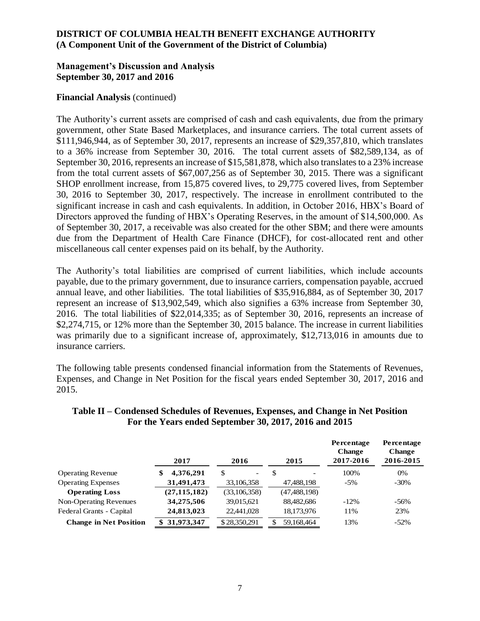## **Management's Discussion and Analysis September 30, 2017 and 2016**

### **Financial Analysis** (continued)

The Authority's current assets are comprised of cash and cash equivalents, due from the primary government, other State Based Marketplaces, and insurance carriers. The total current assets of \$111,946,944, as of September 30, 2017, represents an increase of \$29,357,810, which translates to a 36% increase from September 30, 2016. The total current assets of \$82,589,134, as of September 30, 2016, represents an increase of \$15,581,878, which also translates to a 23% increase from the total current assets of \$67,007,256 as of September 30, 2015. There was a significant SHOP enrollment increase, from 15,875 covered lives, to 29,775 covered lives, from September 30, 2016 to September 30, 2017, respectively. The increase in enrollment contributed to the significant increase in cash and cash equivalents. In addition, in October 2016, HBX's Board of Directors approved the funding of HBX's Operating Reserves, in the amount of \$14,500,000. As of September 30, 2017, a receivable was also created for the other SBM; and there were amounts due from the Department of Health Care Finance (DHCF), for cost-allocated rent and other miscellaneous call center expenses paid on its behalf, by the Authority.

The Authority's total liabilities are comprised of current liabilities, which include accounts payable, due to the primary government, due to insurance carriers, compensation payable, accrued annual leave, and other liabilities. The total liabilities of \$35,916,884, as of September 30, 2017 represent an increase of \$13,902,549, which also signifies a 63% increase from September 30, 2016. The total liabilities of \$22,014,335; as of September 30, 2016, represents an increase of \$2,274,715, or 12% more than the September 30, 2015 balance. The increase in current liabilities was primarily due to a significant increase of, approximately, \$12,713,016 in amounts due to insurance carriers.

The following table presents condensed financial information from the Statements of Revenues, Expenses, and Change in Net Position for the fiscal years ended September 30, 2017, 2016 and 2015.

|                               | 2017            | 2016                           | 2015                           | Percentage<br><b>Change</b><br>2017-2016 | Percentage<br><b>Change</b><br>2016-2015 |
|-------------------------------|-----------------|--------------------------------|--------------------------------|------------------------------------------|------------------------------------------|
| <b>Operating Revenue</b>      | 4,376,291<br>\$ | \$<br>$\overline{\phantom{0}}$ | \$<br>$\overline{\phantom{a}}$ | 100%                                     | 0%                                       |
| <b>Operating Expenses</b>     | 31,491,473      | 33,106,358                     | 47,488,198                     | $-5\%$                                   | $-30\%$                                  |
| <b>Operating Loss</b>         | (27, 115, 182)  | (33, 106, 358)                 | (47, 488, 198)                 |                                          |                                          |
| Non-Operating Revenues        | 34,275,506      | 39,015,621                     | 88,482,686                     | $-12\%$                                  | $-56\%$                                  |
| Federal Grants - Capital      | 24,813,023      | 22,441,028                     | 18,173,976                     | 11%                                      | 23%                                      |
| <b>Change in Net Position</b> | \$31,973,347    | \$28,350,291                   | 59.168.464<br>\$               | 13%                                      | $-52\%$                                  |

### **Table II – Condensed Schedules of Revenues, Expenses, and Change in Net Position For the Years ended September 30, 2017, 2016 and 2015**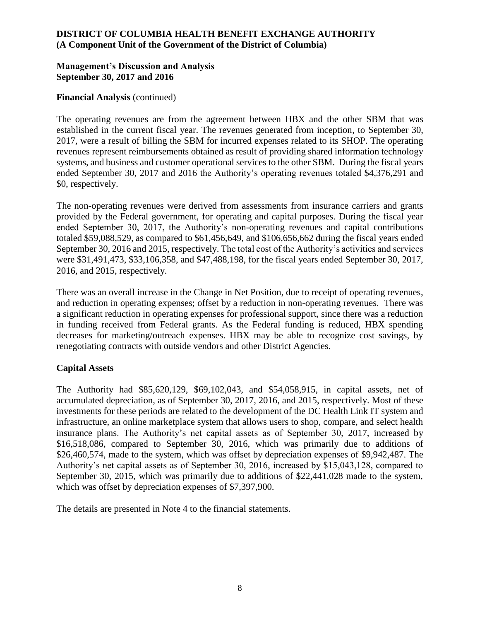## **Management's Discussion and Analysis September 30, 2017 and 2016**

## **Financial Analysis** (continued)

The operating revenues are from the agreement between HBX and the other SBM that was established in the current fiscal year. The revenues generated from inception, to September 30, 2017, were a result of billing the SBM for incurred expenses related to its SHOP. The operating revenues represent reimbursements obtained as result of providing shared information technology systems, and business and customer operational services to the other SBM. During the fiscal years ended September 30, 2017 and 2016 the Authority's operating revenues totaled \$4,376,291 and \$0, respectively.

The non-operating revenues were derived from assessments from insurance carriers and grants provided by the Federal government, for operating and capital purposes. During the fiscal year ended September 30, 2017, the Authority's non-operating revenues and capital contributions totaled \$59,088,529, as compared to \$61,456,649, and \$106,656,662 during the fiscal years ended September 30, 2016 and 2015, respectively. The total cost of the Authority's activities and services were \$31,491,473, \$33,106,358, and \$47,488,198, for the fiscal years ended September 30, 2017, 2016, and 2015, respectively.

There was an overall increase in the Change in Net Position, due to receipt of operating revenues, and reduction in operating expenses; offset by a reduction in non-operating revenues. There was a significant reduction in operating expenses for professional support, since there was a reduction in funding received from Federal grants. As the Federal funding is reduced, HBX spending decreases for marketing/outreach expenses. HBX may be able to recognize cost savings, by renegotiating contracts with outside vendors and other District Agencies.

## **Capital Assets**

The Authority had \$85,620,129, \$69,102,043, and \$54,058,915, in capital assets, net of accumulated depreciation, as of September 30, 2017, 2016, and 2015, respectively. Most of these investments for these periods are related to the development of the DC Health Link IT system and infrastructure, an online marketplace system that allows users to shop, compare, and select health insurance plans. The Authority's net capital assets as of September 30, 2017, increased by \$16,518,086, compared to September 30, 2016, which was primarily due to additions of \$26,460,574, made to the system, which was offset by depreciation expenses of \$9,942,487. The Authority's net capital assets as of September 30, 2016, increased by \$15,043,128, compared to September 30, 2015, which was primarily due to additions of \$22,441,028 made to the system, which was offset by depreciation expenses of \$7,397,900.

The details are presented in Note 4 to the financial statements.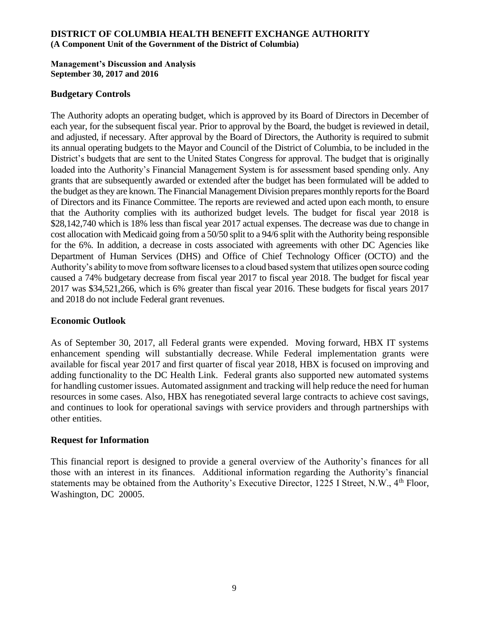#### **Management's Discussion and Analysis September 30, 2017 and 2016**

#### **Budgetary Controls**

The Authority adopts an operating budget, which is approved by its Board of Directors in December of each year, for the subsequent fiscal year. Prior to approval by the Board, the budget is reviewed in detail, and adjusted, if necessary. After approval by the Board of Directors, the Authority is required to submit its annual operating budgets to the Mayor and Council of the District of Columbia, to be included in the District's budgets that are sent to the United States Congress for approval. The budget that is originally loaded into the Authority's Financial Management System is for assessment based spending only. Any grants that are subsequently awarded or extended after the budget has been formulated will be added to the budget as they are known. The Financial Management Division prepares monthly reports for the Board of Directors and its Finance Committee. The reports are reviewed and acted upon each month, to ensure that the Authority complies with its authorized budget levels. The budget for fiscal year 2018 is \$28,142,740 which is 18% less than fiscal year 2017 actual expenses. The decrease was due to change in cost allocation with Medicaid going from a 50/50 split to a 94/6 split with the Authority being responsible for the 6%. In addition, a decrease in costs associated with agreements with other DC Agencies like Department of Human Services (DHS) and Office of Chief Technology Officer (OCTO) and the Authority's ability to move from software licenses to a cloud based system that utilizes open source coding caused a 74% budgetary decrease from fiscal year 2017 to fiscal year 2018. The budget for fiscal year 2017 was \$34,521,266, which is 6% greater than fiscal year 2016. These budgets for fiscal years 2017 and 2018 do not include Federal grant revenues.

### **Economic Outlook**

As of September 30, 2017, all Federal grants were expended. Moving forward, HBX IT systems enhancement spending will substantially decrease. While Federal implementation grants were available for fiscal year 2017 and first quarter of fiscal year 2018, HBX is focused on improving and adding functionality to the DC Health Link. Federal grants also supported new automated systems for handling customer issues. Automated assignment and tracking will help reduce the need for human resources in some cases. Also, HBX has renegotiated several large contracts to achieve cost savings, and continues to look for operational savings with service providers and through partnerships with other entities.

### **Request for Information**

This financial report is designed to provide a general overview of the Authority's finances for all those with an interest in its finances. Additional information regarding the Authority's financial statements may be obtained from the Authority's Executive Director, 1225 I Street, N.W., 4<sup>th</sup> Floor, Washington, DC 20005.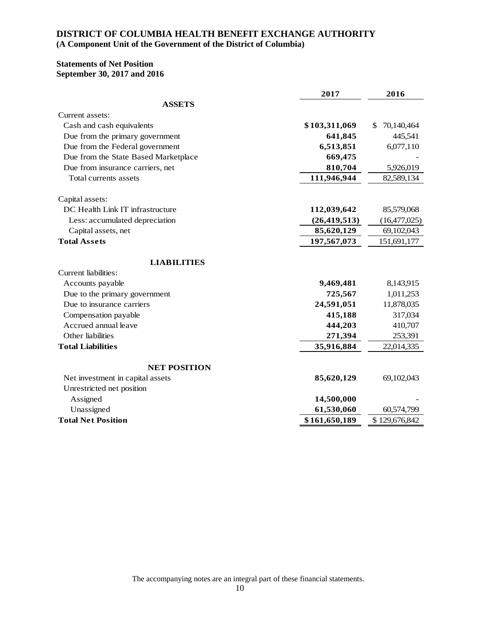### **Statements of Net Position September 30, 2017 and 2016**

|                                      | 2017           | 2016              |
|--------------------------------------|----------------|-------------------|
| <b>ASSETS</b>                        |                |                   |
| Current assets:                      |                |                   |
| Cash and cash equivalents            | \$103,311,069  | 70,140,464<br>\$. |
| Due from the primary government      | 641,845        | 445,541           |
| Due from the Federal government      | 6,513,851      | 6,077,110         |
| Due from the State Based Marketplace | 669,475        |                   |
| Due from insurance carriers, net     | 810,704        | 5,926,019         |
| Total currents assets                | 111,946,944    | 82,589,134        |
| Capital assets:                      |                |                   |
| DC Health Link IT infrastructure     | 112,039,642    | 85,579,068        |
| Less: accumulated depreciation       | (26, 419, 513) | (16,477,025)      |
| Capital assets, net                  | 85,620,129     | 69,102,043        |
| <b>Total Assets</b>                  | 197,567,073    | 151,691,177       |
| <b>LIABILITIES</b>                   |                |                   |
| <b>Current liabilities:</b>          |                |                   |
| Accounts payable                     | 9,469,481      | 8,143,915         |
| Due to the primary government        | 725,567        | 1,011,253         |
| Due to insurance carriers            | 24,591,051     | 11,878,035        |
| Compensation payable                 | 415,188        | 317,034           |
| Accrued annual leave                 | 444,203        | 410,707           |
| Other liabilities                    | 271,394        | 253,391           |
| <b>Total Liabilities</b>             | 35,916,884     | 22,014,335        |
| <b>NET POSITION</b>                  |                |                   |
| Net investment in capital assets     | 85,620,129     | 69,102,043        |
| Unrestricted net position            |                |                   |
| Assigned                             | 14,500,000     |                   |
| Unassigned                           | 61,530,060     | 60,574,799        |
| <b>Total Net Position</b>            | \$161,650,189  | \$129,676,842     |

The accompanying notes are an integral part of these financial statements.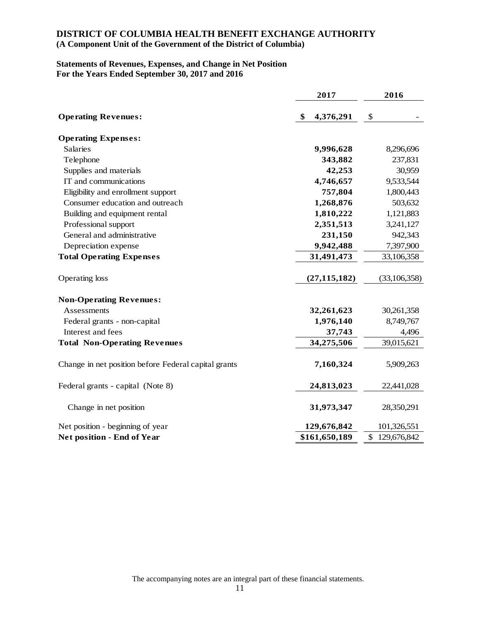### **DISTRICT OF COLUMBIA HEALTH BENEFIT EXCHANGE AUTHORITY**

#### **(A Component Unit of the Government of the District of Columbia)**

#### **Statements of Revenues, Expenses, and Change in Net Position For the Years Ended September 30, 2017 and 2016**

|                                                      | 2017            | 2016           |  |
|------------------------------------------------------|-----------------|----------------|--|
| <b>Operating Revenues:</b>                           | \$<br>4,376,291 | \$             |  |
| <b>Operating Expenses:</b>                           |                 |                |  |
| <b>Salaries</b>                                      | 9,996,628       | 8,296,696      |  |
| Telephone                                            | 343,882         | 237,831        |  |
| Supplies and materials                               | 42,253          | 30,959         |  |
| IT and communications                                | 4,746,657       | 9,533,544      |  |
| Eligibility and enrollment support                   | 757,804         | 1,800,443      |  |
| Consumer education and outreach                      | 1,268,876       | 503,632        |  |
| Building and equipment rental                        | 1,810,222       | 1,121,883      |  |
| Professional support                                 | 2,351,513       | 3,241,127      |  |
| General and administrative                           | 231,150         | 942,343        |  |
| Depreciation expense                                 | 9,942,488       | 7,397,900      |  |
| <b>Total Operating Expenses</b>                      | 31,491,473      | 33,106,358     |  |
| Operating loss                                       | (27, 115, 182)  | (33, 106, 358) |  |
| <b>Non-Operating Revenues:</b>                       |                 |                |  |
| Assessments                                          | 32,261,623      | 30,261,358     |  |
| Federal grants - non-capital                         | 1,976,140       | 8,749,767      |  |
| Interest and fees                                    | 37,743          | 4,496          |  |
| <b>Total Non-Operating Revenues</b>                  | 34,275,506      | 39,015,621     |  |
| Change in net position before Federal capital grants | 7,160,324       | 5,909,263      |  |
| Federal grants - capital (Note 8)                    | 24,813,023      | 22,441,028     |  |
| Change in net position                               | 31,973,347      | 28,350,291     |  |
| Net position - beginning of year                     | 129,676,842     | 101,326,551    |  |
| Net position - End of Year                           | \$161,650,189   | \$129,676,842  |  |

The accompanying notes are an integral part of these financial statements.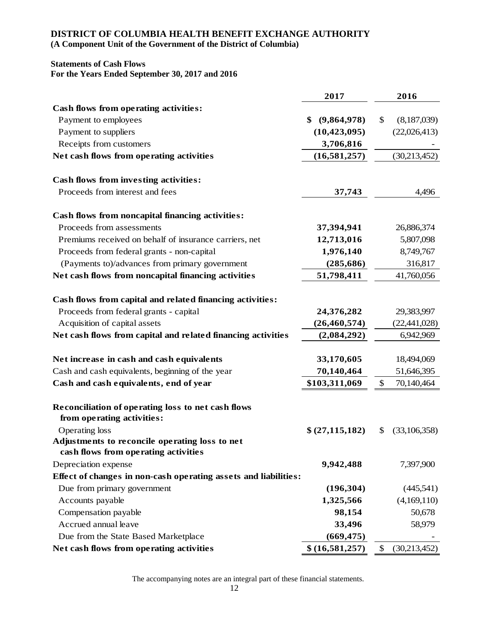#### **DISTRICT OF COLUMBIA HEALTH BENEFIT EXCHANGE AUTHORITY**

**(A Component Unit of the Government of the District of Columbia)**

#### **Statements of Cash Flows For the Years Ended September 30, 2017 and 2016**

|                                                                                                     | 2017              | 2016                          |
|-----------------------------------------------------------------------------------------------------|-------------------|-------------------------------|
| Cash flows from operating activities:                                                               |                   |                               |
| Payment to employees                                                                                | (9,864,978)<br>\$ | \$<br>(8,187,039)             |
| Payment to suppliers                                                                                | (10, 423, 095)    | (22,026,413)                  |
| Receipts from customers                                                                             | 3,706,816         |                               |
| Net cash flows from operating activities                                                            | (16, 581, 257)    | (30,213,452)                  |
| <b>Cash flows from investing activities:</b>                                                        |                   |                               |
| Proceeds from interest and fees                                                                     | 37,743            | 4,496                         |
| Cash flows from noncapital financing activities:                                                    |                   |                               |
| Proceeds from assessments                                                                           | 37,394,941        | 26,886,374                    |
| Premiums received on behalf of insurance carriers, net                                              | 12,713,016        | 5,807,098                     |
| Proceeds from federal grants - non-capital                                                          | 1,976,140         | 8,749,767                     |
| (Payments to)/advances from primary government                                                      | (285, 686)        | 316,817                       |
| Net cash flows from noncapital financing activities                                                 | 51,798,411        | 41,760,056                    |
| Cash flows from capital and related financing activities:<br>Proceeds from federal grants - capital | 24,376,282        | 29,383,997                    |
| Acquisition of capital assets                                                                       | (26, 460, 574)    | (22, 441, 028)                |
| Net cash flows from capital and related financing activities                                        | (2,084,292)       | 6,942,969                     |
| Net increase in cash and cash equivalents                                                           | 33,170,605        | 18,494,069                    |
| Cash and cash equivalents, beginning of the year                                                    | 70,140,464        | 51,646,395                    |
| Cash and cash equivalents, end of year                                                              | \$103,311,069     | 70,140,464<br>\$              |
| Reconciliation of operating loss to net cash flows<br>from operating activities:                    |                   |                               |
| Operating loss                                                                                      | \$ (27, 115, 182) | (33,106,358)<br>\$            |
| Adjustments to reconcile operating loss to net<br>cash flows from operating activities              |                   |                               |
| Depreciation expense                                                                                | 9,942,488         | 7,397,900                     |
| Effect of changes in non-cash operating assets and liabilities:                                     |                   |                               |
| Due from primary government                                                                         | (196, 304)        | (445,541)                     |
| Accounts payable                                                                                    | 1,325,566         | (4,169,110)                   |
| Compensation payable                                                                                | 98,154            | 50,678                        |
| Accrued annual leave                                                                                | 33,496            | 58,979                        |
| Due from the State Based Marketplace                                                                | (669, 475)        |                               |
| Net cash flows from operating activities                                                            | \$(16,581,257)    | $\mathcal{S}$<br>(30,213,452) |

The accompanying notes are an integral part of these financial statements.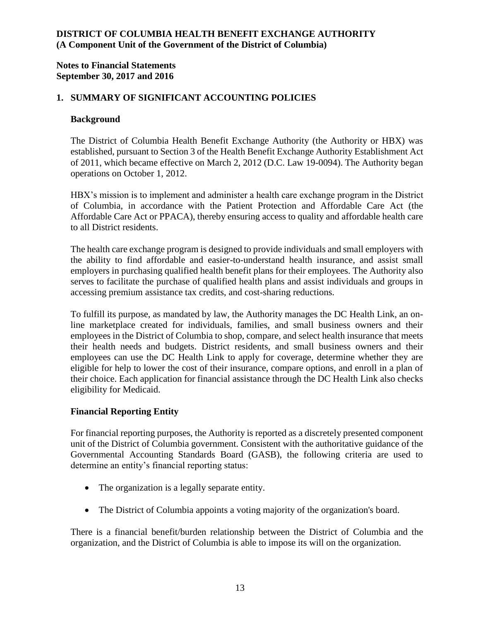### **Notes to Financial Statements September 30, 2017 and 2016**

## **1. SUMMARY OF SIGNIFICANT ACCOUNTING POLICIES**

#### **Background**

The District of Columbia Health Benefit Exchange Authority (the Authority or HBX) was established, pursuant to Section 3 of the Health Benefit Exchange Authority Establishment Act of 2011, which became effective on March 2, 2012 (D.C. Law 19-0094). The Authority began operations on October 1, 2012.

HBX's mission is to implement and administer a health care exchange program in the District of Columbia, in accordance with the Patient Protection and Affordable Care Act (the Affordable Care Act or PPACA), thereby ensuring access to quality and affordable health care to all District residents.

The health care exchange program is designed to provide individuals and small employers with the ability to find affordable and easier-to-understand health insurance, and assist small employers in purchasing qualified health benefit plans for their employees. The Authority also serves to facilitate the purchase of qualified health plans and assist individuals and groups in accessing premium assistance tax credits, and cost-sharing reductions.

To fulfill its purpose, as mandated by law, the Authority manages the DC Health Link, an online marketplace created for individuals, families, and small business owners and their employees in the District of Columbia to shop, compare, and select health insurance that meets their health needs and budgets. District residents, and small business owners and their employees can use the DC Health Link to apply for coverage, determine whether they are eligible for help to lower the cost of their insurance, compare options, and enroll in a plan of their choice. Each application for financial assistance through the DC Health Link also checks eligibility for Medicaid.

### **Financial Reporting Entity**

For financial reporting purposes, the Authority is reported as a discretely presented component unit of the District of Columbia government. Consistent with the authoritative guidance of the Governmental Accounting Standards Board (GASB), the following criteria are used to determine an entity's financial reporting status:

- The organization is a legally separate entity.
- The District of Columbia appoints a voting majority of the organization's board.

There is a financial benefit/burden relationship between the District of Columbia and the organization, and the District of Columbia is able to impose its will on the organization.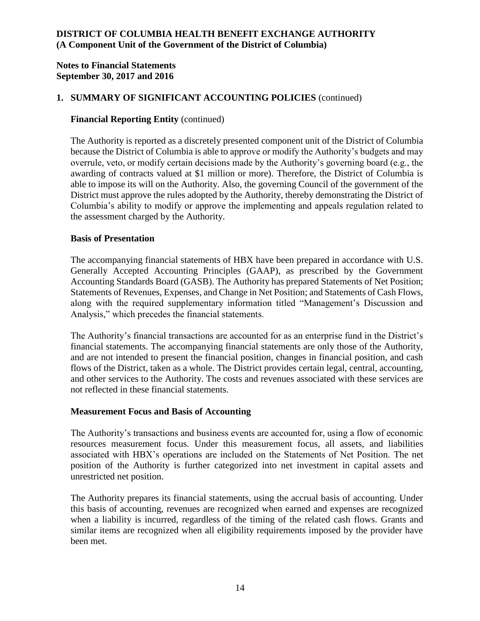### **Notes to Financial Statements September 30, 2017 and 2016**

## **1. SUMMARY OF SIGNIFICANT ACCOUNTING POLICIES** (continued)

### **Financial Reporting Entity** (continued)

The Authority is reported as a discretely presented component unit of the District of Columbia because the District of Columbia is able to approve or modify the Authority's budgets and may overrule, veto, or modify certain decisions made by the Authority's governing board (e.g., the awarding of contracts valued at \$1 million or more). Therefore, the District of Columbia is able to impose its will on the Authority. Also, the governing Council of the government of the District must approve the rules adopted by the Authority, thereby demonstrating the District of Columbia's ability to modify or approve the implementing and appeals regulation related to the assessment charged by the Authority.

### **Basis of Presentation**

The accompanying financial statements of HBX have been prepared in accordance with U.S. Generally Accepted Accounting Principles (GAAP), as prescribed by the Government Accounting Standards Board (GASB). The Authority has prepared Statements of Net Position; Statements of Revenues, Expenses, and Change in Net Position; and Statements of Cash Flows, along with the required supplementary information titled "Management's Discussion and Analysis," which precedes the financial statements.

The Authority's financial transactions are accounted for as an enterprise fund in the District's financial statements. The accompanying financial statements are only those of the Authority, and are not intended to present the financial position, changes in financial position, and cash flows of the District, taken as a whole. The District provides certain legal, central, accounting, and other services to the Authority. The costs and revenues associated with these services are not reflected in these financial statements.

### **Measurement Focus and Basis of Accounting**

The Authority's transactions and business events are accounted for, using a flow of economic resources measurement focus. Under this measurement focus, all assets, and liabilities associated with HBX's operations are included on the Statements of Net Position. The net position of the Authority is further categorized into net investment in capital assets and unrestricted net position.

The Authority prepares its financial statements, using the accrual basis of accounting. Under this basis of accounting, revenues are recognized when earned and expenses are recognized when a liability is incurred, regardless of the timing of the related cash flows. Grants and similar items are recognized when all eligibility requirements imposed by the provider have been met.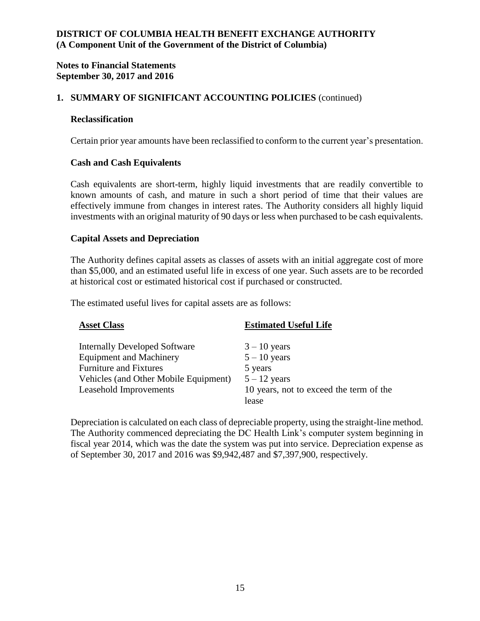### **Notes to Financial Statements September 30, 2017 and 2016**

## **1. SUMMARY OF SIGNIFICANT ACCOUNTING POLICIES** (continued)

#### **Reclassification**

Certain prior year amounts have been reclassified to conform to the current year's presentation.

#### **Cash and Cash Equivalents**

Cash equivalents are short-term, highly liquid investments that are readily convertible to known amounts of cash, and mature in such a short period of time that their values are effectively immune from changes in interest rates. The Authority considers all highly liquid investments with an original maturity of 90 days or less when purchased to be cash equivalents.

#### **Capital Assets and Depreciation**

The Authority defines capital assets as classes of assets with an initial aggregate cost of more than \$5,000, and an estimated useful life in excess of one year. Such assets are to be recorded at historical cost or estimated historical cost if purchased or constructed.

The estimated useful lives for capital assets are as follows:

| <b>Asset Class</b>                    | <b>Estimated Useful Life</b>            |
|---------------------------------------|-----------------------------------------|
| <b>Internally Developed Software</b>  | $3 - 10$ years                          |
| <b>Equipment and Machinery</b>        | $5 - 10$ years                          |
| <b>Furniture and Fixtures</b>         | 5 years                                 |
| Vehicles (and Other Mobile Equipment) | $5 - 12$ years                          |
| Leasehold Improvements                | 10 years, not to exceed the term of the |
|                                       | lease                                   |

Depreciation is calculated on each class of depreciable property, using the straight-line method. The Authority commenced depreciating the DC Health Link's computer system beginning in fiscal year 2014, which was the date the system was put into service. Depreciation expense as of September 30, 2017 and 2016 was \$9,942,487 and \$7,397,900, respectively.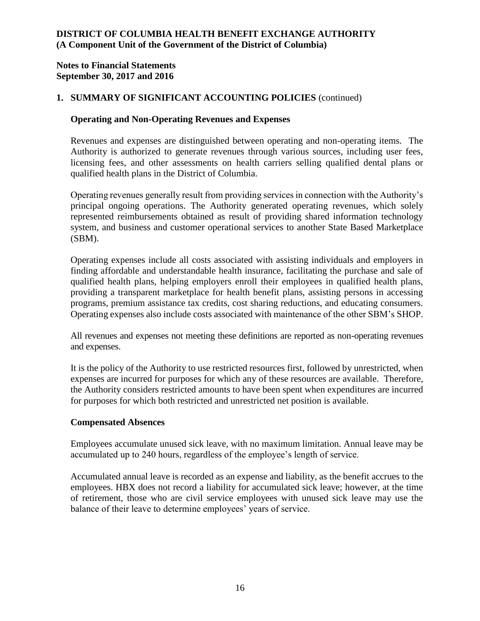### **Notes to Financial Statements September 30, 2017 and 2016**

## **1. SUMMARY OF SIGNIFICANT ACCOUNTING POLICIES** (continued)

### **Operating and Non-Operating Revenues and Expenses**

Revenues and expenses are distinguished between operating and non-operating items. The Authority is authorized to generate revenues through various sources, including user fees, licensing fees, and other assessments on health carriers selling qualified dental plans or qualified health plans in the District of Columbia.

Operating revenues generally result from providing services in connection with the Authority's principal ongoing operations. The Authority generated operating revenues, which solely represented reimbursements obtained as result of providing shared information technology system, and business and customer operational services to another State Based Marketplace (SBM).

Operating expenses include all costs associated with assisting individuals and employers in finding affordable and understandable health insurance, facilitating the purchase and sale of qualified health plans, helping employers enroll their employees in qualified health plans, providing a transparent marketplace for health benefit plans, assisting persons in accessing programs, premium assistance tax credits, cost sharing reductions, and educating consumers. Operating expenses also include costs associated with maintenance of the other SBM's SHOP.

All revenues and expenses not meeting these definitions are reported as non-operating revenues and expenses.

It is the policy of the Authority to use restricted resources first, followed by unrestricted, when expenses are incurred for purposes for which any of these resources are available. Therefore, the Authority considers restricted amounts to have been spent when expenditures are incurred for purposes for which both restricted and unrestricted net position is available.

### **Compensated Absences**

Employees accumulate unused sick leave, with no maximum limitation. Annual leave may be accumulated up to 240 hours, regardless of the employee's length of service.

Accumulated annual leave is recorded as an expense and liability, as the benefit accrues to the employees. HBX does not record a liability for accumulated sick leave; however, at the time of retirement, those who are civil service employees with unused sick leave may use the balance of their leave to determine employees' years of service.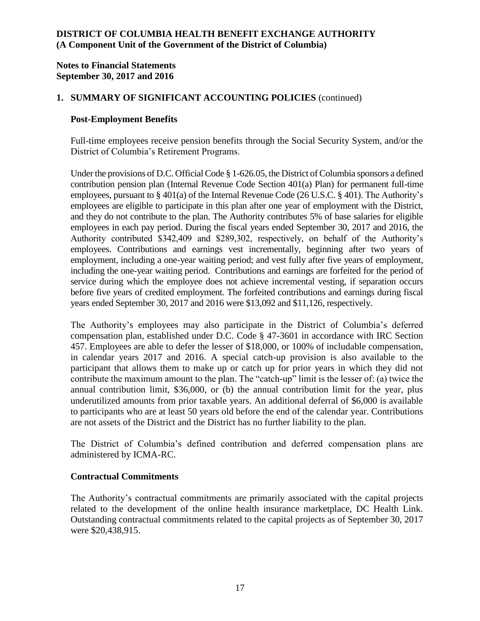### **Notes to Financial Statements September 30, 2017 and 2016**

## **1. SUMMARY OF SIGNIFICANT ACCOUNTING POLICIES** (continued)

### **Post-Employment Benefits**

Full-time employees receive pension benefits through the Social Security System, and/or the District of Columbia's Retirement Programs.

Under the provisions of D.C. Official Code § 1-626.05, the District of Columbia sponsors a defined contribution pension plan (Internal Revenue Code Section 401(a) Plan) for permanent full-time employees, pursuant to § 401(a) of the Internal Revenue Code (26 U.S.C. § 401). The Authority's employees are eligible to participate in this plan after one year of employment with the District, and they do not contribute to the plan. The Authority contributes 5% of base salaries for eligible employees in each pay period. During the fiscal years ended September 30, 2017 and 2016, the Authority contributed \$342,409 and \$289,302, respectively, on behalf of the Authority's employees. Contributions and earnings vest incrementally, beginning after two years of employment, including a one-year waiting period; and vest fully after five years of employment, including the one-year waiting period. Contributions and earnings are forfeited for the period of service during which the employee does not achieve incremental vesting, if separation occurs before five years of credited employment. The forfeited contributions and earnings during fiscal years ended September 30, 2017 and 2016 were \$13,092 and \$11,126, respectively.

The Authority's employees may also participate in the District of Columbia's deferred compensation plan, established under D.C. Code § 47-3601 in accordance with IRC Section 457. Employees are able to defer the lesser of \$18,000, or 100% of includable compensation, in calendar years 2017 and 2016. A special catch-up provision is also available to the participant that allows them to make up or catch up for prior years in which they did not contribute the maximum amount to the plan. The "catch-up" limit is the lesser of: (a) twice the annual contribution limit, \$36,000, or (b) the annual contribution limit for the year, plus underutilized amounts from prior taxable years. An additional deferral of \$6,000 is available to participants who are at least 50 years old before the end of the calendar year. Contributions are not assets of the District and the District has no further liability to the plan.

The District of Columbia's defined contribution and deferred compensation plans are administered by ICMA-RC.

## **Contractual Commitments**

The Authority's contractual commitments are primarily associated with the capital projects related to the development of the online health insurance marketplace, DC Health Link. Outstanding contractual commitments related to the capital projects as of September 30, 2017 were \$20,438,915.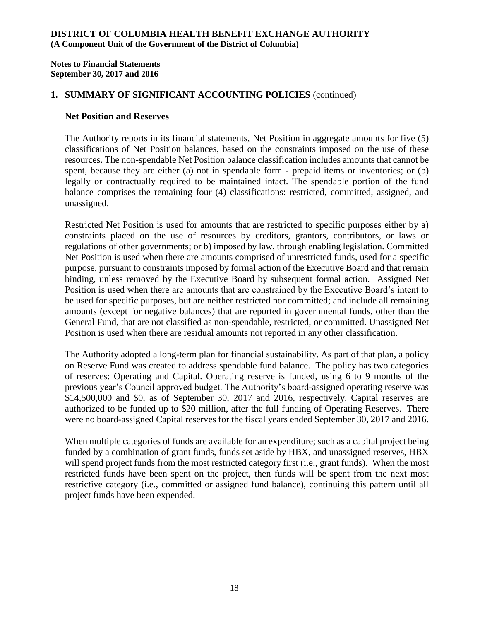**Notes to Financial Statements September 30, 2017 and 2016**

### **1. SUMMARY OF SIGNIFICANT ACCOUNTING POLICIES** (continued)

#### **Net Position and Reserves**

The Authority reports in its financial statements, Net Position in aggregate amounts for five (5) classifications of Net Position balances, based on the constraints imposed on the use of these resources. The non-spendable Net Position balance classification includes amounts that cannot be spent, because they are either (a) not in spendable form - prepaid items or inventories; or (b) legally or contractually required to be maintained intact. The spendable portion of the fund balance comprises the remaining four (4) classifications: restricted, committed, assigned, and unassigned.

Restricted Net Position is used for amounts that are restricted to specific purposes either by a) constraints placed on the use of resources by creditors, grantors, contributors, or laws or regulations of other governments; or b) imposed by law, through enabling legislation. Committed Net Position is used when there are amounts comprised of unrestricted funds, used for a specific purpose, pursuant to constraints imposed by formal action of the Executive Board and that remain binding, unless removed by the Executive Board by subsequent formal action. Assigned Net Position is used when there are amounts that are constrained by the Executive Board's intent to be used for specific purposes, but are neither restricted nor committed; and include all remaining amounts (except for negative balances) that are reported in governmental funds, other than the General Fund, that are not classified as non-spendable, restricted, or committed. Unassigned Net Position is used when there are residual amounts not reported in any other classification.

The Authority adopted a long-term plan for financial sustainability. As part of that plan, a policy on Reserve Fund was created to address spendable fund balance. The policy has two categories of reserves: Operating and Capital. Operating reserve is funded, using 6 to 9 months of the previous year's Council approved budget. The Authority's board-assigned operating reserve was \$14,500,000 and \$0, as of September 30, 2017 and 2016, respectively. Capital reserves are authorized to be funded up to \$20 million, after the full funding of Operating Reserves. There were no board-assigned Capital reserves for the fiscal years ended September 30, 2017 and 2016.

When multiple categories of funds are available for an expenditure; such as a capital project being funded by a combination of grant funds, funds set aside by HBX, and unassigned reserves, HBX will spend project funds from the most restricted category first (i.e., grant funds). When the most restricted funds have been spent on the project, then funds will be spent from the next most restrictive category (i.e., committed or assigned fund balance), continuing this pattern until all project funds have been expended.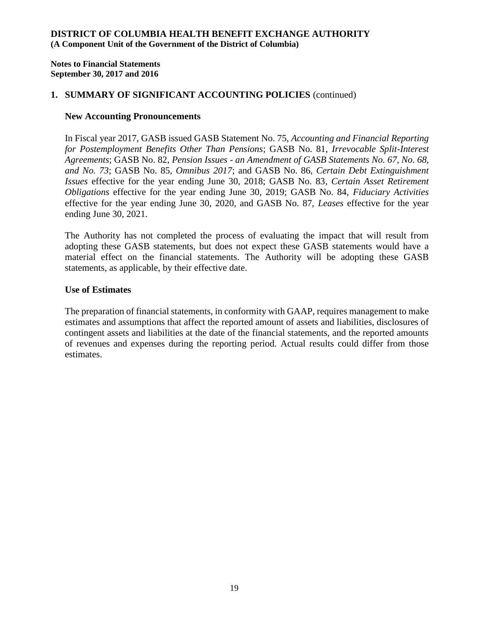**Notes to Financial Statements September 30, 2017 and 2016**

### **1. SUMMARY OF SIGNIFICANT ACCOUNTING POLICIES** (continued)

#### **New Accounting Pronouncements**

In Fiscal year 2017, GASB issued GASB Statement No. 75, *Accounting and Financial Reporting for Postemployment Benefits Other Than Pensions*; GASB No. 81, *Irrevocable Split-Interest Agreements*; GASB No. 82, *Pension Issues - an Amendment of GASB Statements No. 67, No. 68, and No. 73*; GASB No. 85, *Omnibus 2017*; and GASB No. 86, *Certain Debt Extinguishment Issues* effective for the year ending June 30, 2018; GASB No. 83*, Certain Asset Retirement Obligations* effective for the year ending June 30, 2019; GASB No. 84, *Fiduciary Activities* effective for the year ending June 30, 2020, and GASB No. 87, *Leases* effective for the year ending June 30, 2021.

The Authority has not completed the process of evaluating the impact that will result from adopting these GASB statements, but does not expect these GASB statements would have a material effect on the financial statements. The Authority will be adopting these GASB statements, as applicable, by their effective date.

#### **Use of Estimates**

The preparation of financial statements, in conformity with GAAP, requires management to make estimates and assumptions that affect the reported amount of assets and liabilities, disclosures of contingent assets and liabilities at the date of the financial statements, and the reported amounts of revenues and expenses during the reporting period. Actual results could differ from those estimates.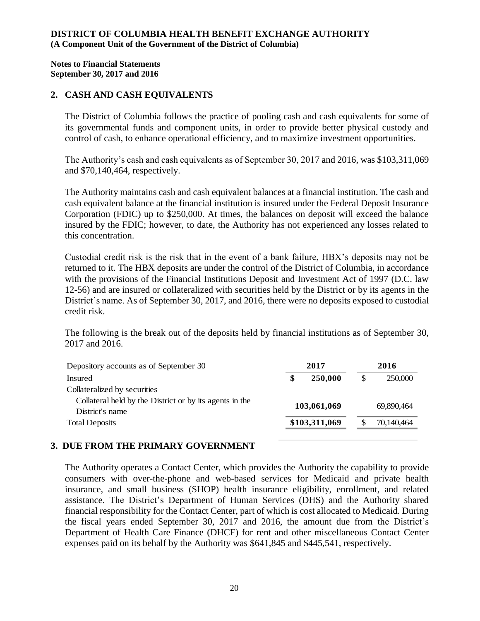#### **Notes to Financial Statements September 30, 2017 and 2016**

### **2. CASH AND CASH EQUIVALENTS**

The District of Columbia follows the practice of pooling cash and cash equivalents for some of its governmental funds and component units, in order to provide better physical custody and control of cash, to enhance operational efficiency, and to maximize investment opportunities.

The Authority's cash and cash equivalents as of September 30, 2017 and 2016, was \$103,311,069 and \$70,140,464, respectively.

The Authority maintains cash and cash equivalent balances at a financial institution. The cash and cash equivalent balance at the financial institution is insured under the Federal Deposit Insurance Corporation (FDIC) up to \$250,000. At times, the balances on deposit will exceed the balance insured by the FDIC; however, to date, the Authority has not experienced any losses related to this concentration.

Custodial credit risk is the risk that in the event of a bank failure, HBX's deposits may not be returned to it. The HBX deposits are under the control of the District of Columbia, in accordance with the provisions of the Financial Institutions Deposit and Investment Act of 1997 (D.C. law 12-56) and are insured or collateralized with securities held by the District or by its agents in the District's name. As of September 30, 2017, and 2016, there were no deposits exposed to custodial credit risk.

The following is the break out of the deposits held by financial institutions as of September 30, 2017 and 2016.

| Depository accounts as of September 30                                     | 2017 |               | 2016 |            |  |
|----------------------------------------------------------------------------|------|---------------|------|------------|--|
| Insured                                                                    | \$   | 250,000       |      | 250,000    |  |
| Collateralized by securities                                               |      |               |      |            |  |
| Collateral held by the District or by its agents in the<br>District's name |      | 103,061,069   |      | 69,890,464 |  |
| <b>Total Deposits</b>                                                      |      | \$103,311,069 |      | 70,140,464 |  |
|                                                                            |      |               |      |            |  |

## **3. DUE FROM THE PRIMARY GOVERNMENT**

The Authority operates a Contact Center, which provides the Authority the capability to provide consumers with over-the-phone and web-based services for Medicaid and private health insurance, and small business (SHOP) health insurance eligibility, enrollment, and related assistance. The District's Department of Human Services (DHS) and the Authority shared financial responsibility for the Contact Center, part of which is cost allocated to Medicaid. During the fiscal years ended September 30, 2017 and 2016, the amount due from the District's Department of Health Care Finance (DHCF) for rent and other miscellaneous Contact Center expenses paid on its behalf by the Authority was \$641,845 and \$445,541, respectively.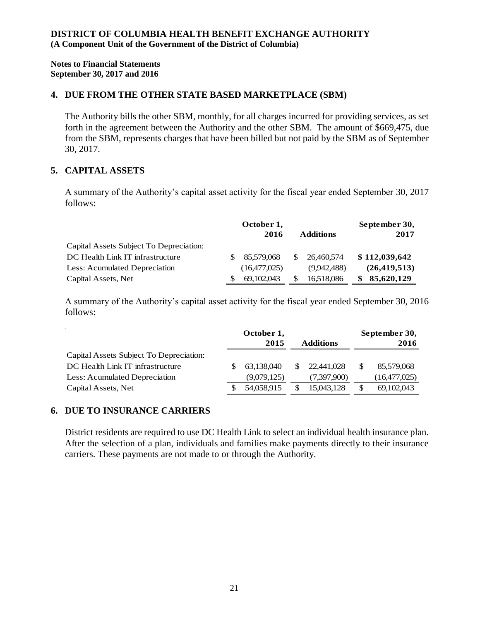**Notes to Financial Statements September 30, 2017 and 2016**

#### **4. DUE FROM THE OTHER STATE BASED MARKETPLACE (SBM)**

The Authority bills the other SBM, monthly, for all charges incurred for providing services, as set forth in the agreement between the Authority and the other SBM. The amount of \$669,475, due from the SBM, represents charges that have been billed but not paid by the SBM as of September 30, 2017.

## **5. CAPITAL ASSETS**

A summary of the Authority's capital asset activity for the fiscal year ended September 30, 2017 follows:

|                                         | October 1.<br>2016<br><b>Additions</b> |              | September 30,<br>2017 |  |                |
|-----------------------------------------|----------------------------------------|--------------|-----------------------|--|----------------|
| Capital Assets Subject To Depreciation: |                                        |              |                       |  |                |
| DC Health Link IT infrastructure        |                                        | 85,579,068   | 26,460,574            |  | \$112,039,642  |
| Less: Acumulated Depreciation           |                                        | (16,477,025) | (9.942.488)           |  | (26, 419, 513) |
| Capital Assets, Net                     |                                        | 69,102,043   | 16,518,086            |  | 85,620,129     |

A summary of the Authority's capital asset activity for the fiscal year ended September 30, 2016 follows:

|                                         | October 1,<br>2015 | <b>Additions</b> |             | September 30,<br>2016 |                |
|-----------------------------------------|--------------------|------------------|-------------|-----------------------|----------------|
| Capital Assets Subject To Depreciation: |                    |                  |             |                       |                |
| DC Health Link IT infrastructure        | 63,138,040         | S.               | 22,441,028  |                       | 85,579,068     |
| Less: Acumulated Depreciation           | (9,079,125)        |                  | (7,397,900) |                       | (16, 477, 025) |
| Capital Assets, Net                     | 54,058,915         |                  | 15,043,128  | S                     | 69,102,043     |

### **6. DUE TO INSURANCE CARRIERS**

District residents are required to use DC Health Link to select an individual health insurance plan. After the selection of a plan, individuals and families make payments directly to their insurance carriers. These payments are not made to or through the Authority.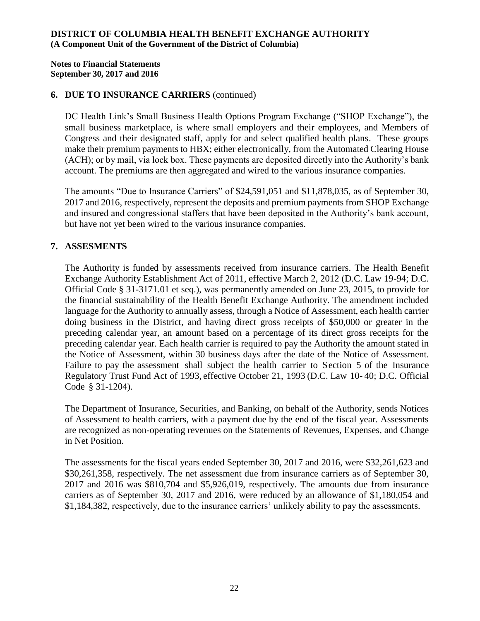#### **Notes to Financial Statements September 30, 2017 and 2016**

### **6. DUE TO INSURANCE CARRIERS** (continued)

DC Health Link's Small Business Health Options Program Exchange ("SHOP Exchange"), the small business marketplace, is where small employers and their employees, and Members of Congress and their designated staff, apply for and select qualified health plans. These groups make their premium payments to HBX; either electronically, from the Automated Clearing House (ACH); or by mail, via lock box. These payments are deposited directly into the Authority's bank account. The premiums are then aggregated and wired to the various insurance companies.

The amounts "Due to Insurance Carriers" of \$24,591,051 and \$11,878,035, as of September 30, 2017 and 2016, respectively, represent the deposits and premium payments from SHOP Exchange and insured and congressional staffers that have been deposited in the Authority's bank account, but have not yet been wired to the various insurance companies.

## **7. ASSESMENTS**

The Authority is funded by assessments received from insurance carriers. The Health Benefit Exchange Authority Establishment Act of 2011, effective March 2, 2012 (D.C. Law 19-94; D.C. Official Code § 31-3171.01 et seq.), was permanently amended on June 23, 2015, to provide for the financial sustainability of the Health Benefit Exchange Authority. The amendment included language for the Authority to annually assess, through a Notice of Assessment, each health carrier doing business in the District, and having direct gross receipts of \$50,000 or greater in the preceding calendar year, an amount based on a percentage of its direct gross receipts for the preceding calendar year. Each health carrier is required to pay the Authority the amount stated in the Notice of Assessment, within 30 business days after the date of the Notice of Assessment. Failure to pay the assessment shall subject the health carrier to Section 5 of the Insurance Regulatory Trust Fund Act of 1993, effective October 21, 1993 (D.C. Law 10- 40; D.C. Official Code § 31-1204).

The Department of Insurance, Securities, and Banking, on behalf of the Authority, sends Notices of Assessment to health carriers, with a payment due by the end of the fiscal year. Assessments are recognized as non-operating revenues on the Statements of Revenues, Expenses, and Change in Net Position.

The assessments for the fiscal years ended September 30, 2017 and 2016, were \$32,261,623 and \$30,261,358, respectively. The net assessment due from insurance carriers as of September 30, 2017 and 2016 was \$810,704 and \$5,926,019, respectively. The amounts due from insurance carriers as of September 30, 2017 and 2016, were reduced by an allowance of \$1,180,054 and \$1,184,382, respectively, due to the insurance carriers' unlikely ability to pay the assessments.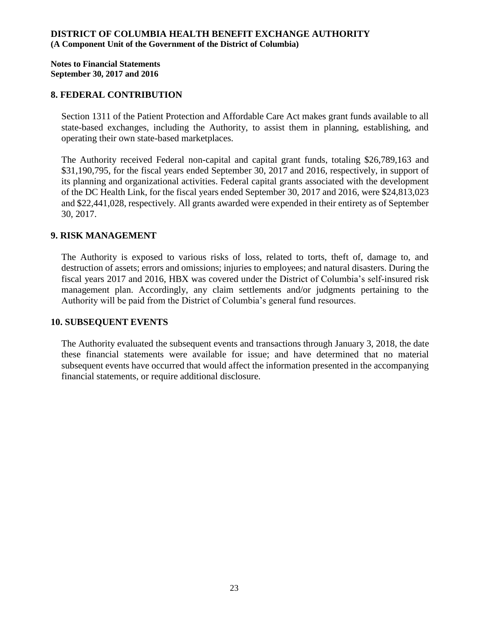**Notes to Financial Statements September 30, 2017 and 2016**

#### **8. FEDERAL CONTRIBUTION**

Section 1311 of the Patient Protection and Affordable Care Act makes grant funds available to all state-based exchanges, including the Authority, to assist them in planning, establishing, and operating their own state-based marketplaces.

The Authority received Federal non-capital and capital grant funds, totaling \$26,789,163 and \$31,190,795, for the fiscal years ended September 30, 2017 and 2016, respectively, in support of its planning and organizational activities. Federal capital grants associated with the development of the DC Health Link, for the fiscal years ended September 30, 2017 and 2016, were \$24,813,023 and \$22,441,028, respectively. All grants awarded were expended in their entirety as of September 30, 2017.

#### **9. RISK MANAGEMENT**

The Authority is exposed to various risks of loss, related to torts, theft of, damage to, and destruction of assets; errors and omissions; injuries to employees; and natural disasters. During the fiscal years 2017 and 2016, HBX was covered under the District of Columbia's self-insured risk management plan. Accordingly, any claim settlements and/or judgments pertaining to the Authority will be paid from the District of Columbia's general fund resources.

#### **10. SUBSEQUENT EVENTS**

The Authority evaluated the subsequent events and transactions through January 3, 2018, the date these financial statements were available for issue; and have determined that no material subsequent events have occurred that would affect the information presented in the accompanying financial statements, or require additional disclosure.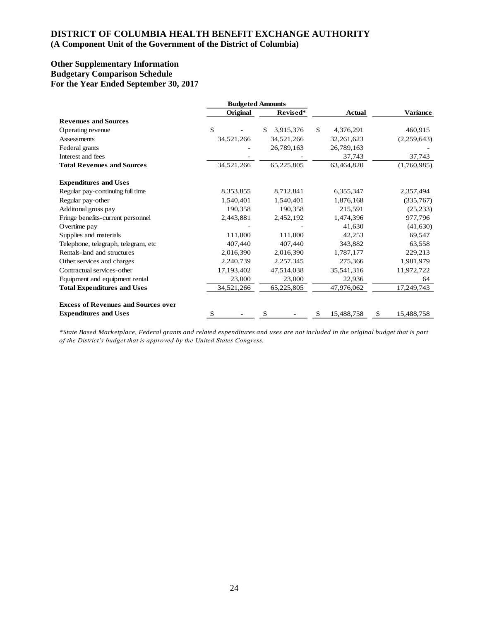# **DISTRICT OF COLUMBIA HEALTH BENEFIT EXCHANGE AUTHORITY**

### **(A Component Unit of the Government of the District of Columbia)**

#### **Other Supplementary Information Budgetary Comparison Schedule For the Year Ended September 30, 2017**

|                                            |            | <b>Budgeted Amounts</b> |                           |                  |  |
|--------------------------------------------|------------|-------------------------|---------------------------|------------------|--|
|                                            | Original   | Revised*                | <b>Actual</b>             | <b>Variance</b>  |  |
| <b>Revenues and Sources</b>                |            |                         |                           |                  |  |
| Operating revenue                          | \$         | 3,915,376<br>\$         | $\mathbb{S}$<br>4,376,291 | 460,915          |  |
| Assessments                                | 34,521,266 | 34,521,266              | 32,261,623                | (2,259,643)      |  |
| Federal grants                             |            | 26,789,163              | 26,789,163                |                  |  |
| Interest and fees                          |            |                         | 37,743                    | 37,743           |  |
| <b>Total Revenues and Sources</b>          | 34,521,266 | 65,225,805              | 63,464,820                | (1,760,985)      |  |
| <b>Expenditures and Uses</b>               |            |                         |                           |                  |  |
| Regular pay-continuing full time           | 8,353,855  | 8,712,841               | 6,355,347                 | 2,357,494        |  |
| Regular pay-other                          | 1,540,401  | 1,540,401               | 1,876,168                 | (335,767)        |  |
| Additonal gross pay                        | 190,358    | 190,358                 | 215,591                   | (25, 233)        |  |
| Fringe benefits-current personnel          | 2,443,881  | 2,452,192               | 1,474,396                 | 977,796          |  |
| Overtime pay                               |            |                         | 41,630                    | (41, 630)        |  |
| Supplies and materials                     | 111,800    | 111,800                 | 42,253                    | 69,547           |  |
| Telephone, telegraph, telegram, etc        | 407,440    | 407,440                 | 343,882                   | 63,558           |  |
| Rentals-land and structures                | 2,016,390  | 2,016,390               | 1,787,177                 | 229,213          |  |
| Other services and charges                 | 2,240,739  | 2,257,345               | 275,366                   | 1,981,979        |  |
| Contractual services-other                 | 17,193,402 | 47,514,038              | 35,541,316                | 11,972,722       |  |
| Equipment and equipment rental             | 23,000     | 23,000                  | 22,936                    | 64               |  |
| <b>Total Expenditures and Uses</b>         | 34,521,266 | 65,225,805              | 47,976,062                | 17,249,743       |  |
| <b>Excess of Revenues and Sources over</b> |            |                         |                           |                  |  |
| <b>Expenditures and Uses</b>               | \$.        | \$                      | 15,488,758<br>S           | 15,488,758<br>\$ |  |

*\*State Based Marketplace, Federal grants and related expenditures and uses are not included in the original budget that is part of the District's budget that is approved by the United States Congress.*